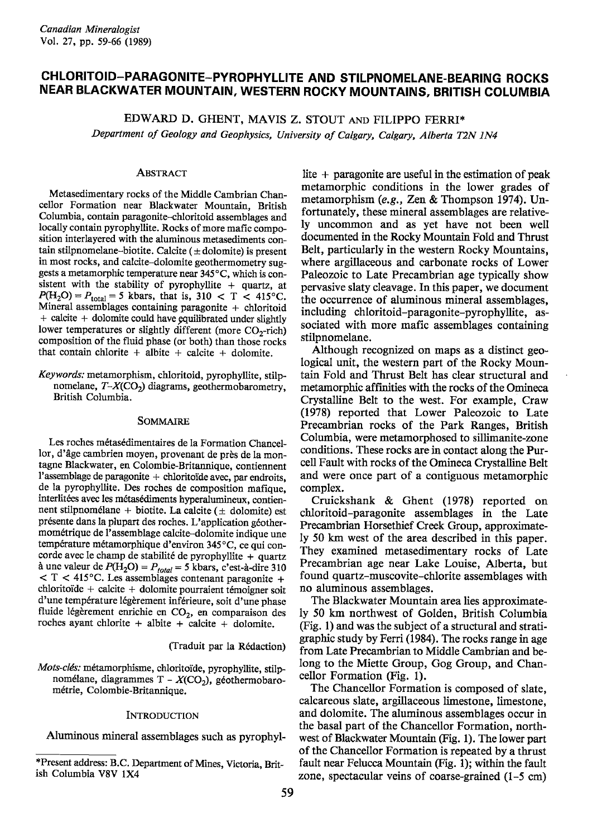# **CHLORITOID-PARAGONITE-PYROPHYLLITE AND STILPNOMELANE-BEARING ROCKS NEAR BLACKWATER MOUNTAIN, WESTERN ROCKY MOUNTAINS, BRITISH COLUMBIA**

EDWARD D. GHENT, MAVIS Z. STOUT AND FILIPPO FERRI\*

*Department of Geology and Geophysics, University of Calgary, Calgary, Alberta T2N IN4*

### ABSTRACT

Metasedimentary rocks of the Middle Cambrian Chancellor Formation near Blackwater Mountain, British Columbia, contain paragonite-chloritoid assemblages and locally contain pyrophyIIite. Rocks of more mafic composition interlayered with the aluminous metasediments contain stilpnomelane-biotite. Calcite  $(±$  dolomite) is present in most rocks, and calcite-dolomite geothermometry suggests a metamorphic temperature near 345°C, which is consistent with the stability of pyrophyllite  $+$  quartz, at  $P(H_2O) = P_{total} = 5$  kbars, that is, 310 < T < 415°C. Mineral assemblages containing paragonite + chloritoid + calcite + dolomite could have equilibrated under slightly lower temperatures or slightly different (more CO<sub>2</sub>-rich) composition of the fluid phase (or both) than those rocks that contain chlorite  $+$  albite  $+$  calcite  $+$  dolomite.

*Keywords:* metamorphism, chloritoid, pyrophyIIite, stiIpnomelane, *T-X*(CO<sub>2</sub>) diagrams, geothermobarometry, British Columbia.

#### SOMMAIRE

Les roches métasédimentaires de la Formation Chancellor, d'age cambrien moyen, provenant de pres de la montagne Blackwater, en Colombie-Britannique, contiennent l'assemblage de paragonite + chloritoide avec, par endroits, de la pyrophyIIite. Des roches de composition mafique, interlitées avec les métasédiments hyperalumineux, contiennent stilpnomélane + biotite. La calcite ( $\pm$  dolomite) est presente dans la plupart des roches. L'application geothermometrique de l'assemblage calcite-dolomite indique une température métamorphique d'environ 345°C, ce qui concorde avec le champ de stabilité de pyrophyllite  $+$  quartz à une valeur de  $P(H_2O) = P_{total} = 5$  kbars, c'est-à-dire 310  $<$  T  $<$  415°C. Les assemblages contenant paragonite +  $chloritoïde + calcite + dolomite pourraient témoigner soit$ d'une température légèrement inférieure, soit d'une phase fluide légèrement enrichie en  $CO<sub>2</sub>$ , en comparaison des roches ayant chlorite + albite + calcite + dolomite.

(Traduit par la Redaction)

*Mots-clés:* métamorphisme, chloritoïde, pyrophyllite, stilpnomélane, diagrammes T -  $X(CO<sub>2</sub>)$ , géothermobarometrie, Colombie-Britannique.

#### **INTRODUCTION**

Aluminous mineral assemblages such as pyrophyl-

lite  $+$  paragonite are useful in the estimation of peak metamorphic conditions in the lower grades of metamorphism *(e.g.,* Zen & Thompson 1974). Unfortunately, these mineral assemblages are relatively uncommon and as yet have not been well documented in the Rocky Mountain Fold and Thrust Belt, particularly in the western Rocky Mountains, where argillaceous and carbonate rocks of Lower Paleozoic to Late Precambrian age typically show pervasive slaty cleavage. In this paper, we document the occurrence of aluminous mineral assemblages, including chloritoid-paragonite-pyrophyllite, associated with more mafic assemblages containing stilpnomelane.

Although recognized on maps as a distinct geological unit, the western part of the Rocky Mountain Fold and Thrust Belt has clear structural and metamorphic affInities with the rocks of the Omineca Crystalline Belt to the west. For example, Craw (1978) reported that Lower Paleozoic to Late Precambrian rocks of the Park Ranges, British Columbia, were metamorphosed to sillimanite-zone conditions. These rocks are in contact along the Purcell Fault with rocks of theOmineca Crystalline Belt and were once part of a contiguous metamorphic complex.

Cruickshank & Ghent (1978) reported on chloritoid-paragonite assemblages in the Late Precambrian Horsethief Creek Group, approximately 50 km west of the area described in this paper. They examined metasedimentary rocks of Late Precambrian age near Lake Louise, Alberta, but found quartz-muscovite-chlorite assemblages with no aluminous assemblages.

The Blackwater Mountain area lies approximately 50 km northwest of Golden, British Columbia (Fig. 1) and was the subject of a structural and stratigraphic study by Ferri (1984). The rocks range in age from Late Precambrian to Middle Cambrian and belong to the Miette Group, Gog Group, and Chancellor Formation (Fig. 1).

The Chancellor Formation is composed of slate, calcareous slate, argillaceous limestone, limestone, and dolomite. The aluminous assemblages occur in the basal part of the Chancellor Formation, northwest of Blackwater Mountain (Fig. 1). The lower part of the Chancellor Formation is repeated by a thrust fault near Felucca Mountain (Fig. 1); within the fault zone, spectacular veins of coarse-grained (1-5 cm)

<sup>\*</sup>Present address: B.C. Department of Mines, Victoria, British Columbia V8V lX4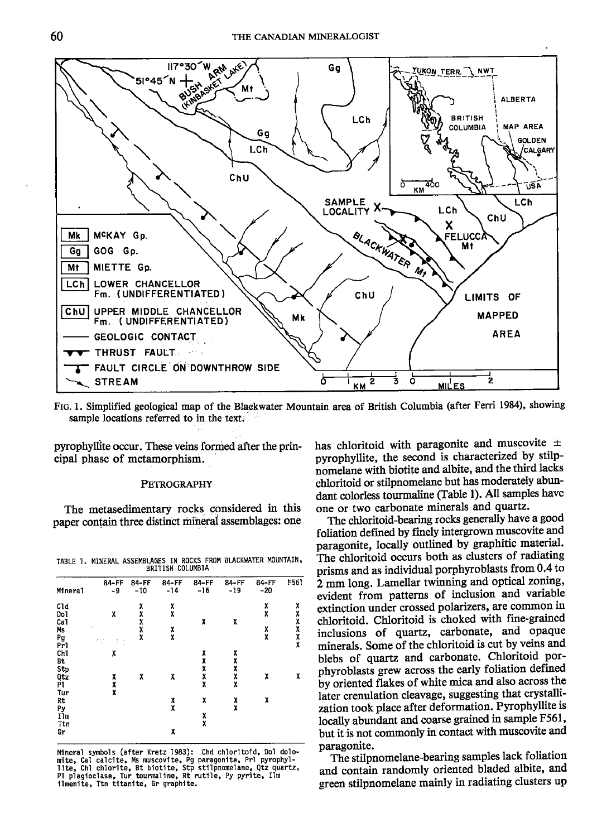

FIG. 1. Simplified geological map of the Blackwater Mountain area of British Columbia (after Ferri 1984), showing . sample locations referred to in the text.

pyrophyllite occur. These veins formed after the principal phase of metamorphism.

# **PETROGRAPHY**

The metasedimentary rocks considered in this paper contain three distinct mineral assemblages: one

TABLE 1. MINERAL ASSEMBLAGES IN ROCKS FROM BLACKWATER MOUNTAIN, BRITISH COLUMBIA

| Mineral | 84-FF<br>-9 | 84-FF<br>$-10$ | $84 - FF$<br>$-14$ | 84-FF<br>$-16$ | 84-FF<br>$-19$   | 84-FF<br>$-20$ | F561           |
|---------|-------------|----------------|--------------------|----------------|------------------|----------------|----------------|
| C1d     |             | X              | $\frac{x}{x}$      |                |                  | $\frac{x}{x}$  | X              |
| Dol     | X           |                |                    |                |                  |                | <b>x x x x</b> |
| Ca1     |             | xxxx           |                    | χ              | χ                |                |                |
| Ms      | $\sim$ .    |                | X                  |                |                  | X              |                |
| Pg      | ×, t<br>÷   |                | X                  |                |                  | X              |                |
| Pr1     | t           |                |                    |                |                  |                | X              |
| Chl     | x           |                |                    |                |                  |                |                |
| Bt      |             |                |                    | <b>XXXX</b>    | <b>x x x x x</b> |                |                |
| Stp     |             |                |                    |                |                  |                |                |
| Qtz     | X           | χ              | X                  |                |                  | X              | X              |
| P١      |             |                |                    | X              |                  |                |                |
| Tur     | X           |                |                    |                |                  |                |                |
| Rt      |             |                |                    | X              |                  | X              |                |
| Pу      |             |                | $\frac{x}{x}$      |                | $\frac{x}{x}$    |                |                |
| I1m     |             |                |                    |                |                  |                |                |
| Ttn     |             |                |                    | $\frac{x}{x}$  |                  |                |                |
| Gr      |             |                | X                  |                |                  |                |                |

Mineral symbols(after Kretz 1983): Chd ch10ritoid, Dol dolomite, Cal calcite, Ms muscovite, Pg paragonite, Prl pyrophyl-<br>lite, Ch1 chlorite, Bt biotite, Stp stilpnomelane, Qtz quartz,<br>Pl plagioclase, Tur tourmaline, Rt rutile, Py pyrite, Ilm ilmenite, Ttn titanite, Gr graphite.

has chloritoid with paragonite and muscovite  $\pm$ pyrophyllite, the second is characterized by stilpnomelane with biotite and albite, and the third lacks chloritoid or stilpnomelane but has moderately abundant colorless tourmaline (Table I). All samples have one or two carbonate minerals and quartz.

The chloritoid-bearing rocks generally have a good foliation defmed by fmely intergrown muscovite and paragonite, locally outlined by graphitic material. The chloritoid occurs both as clusters of radiating prisms and as individual porphyroblasts from 0.4 to 2 mm long. Lamellar twinning and optical zoning, evident from patterns of inclusion and variable extinction under crossed polarizers, are common in chloritoid. Chloritoid is choked with fine-grained inclusions of quartz, carbonate, and opaque minerals. Some of the chloritoid is cut by veins and blebs of quartz and carbonate. Chloritoid porphyroblasts grew across the early foliation defmed by oriented flakes of white mica and also across the later crenulation cleavage, suggesting that crystallization took place after deformation. Pyrophyllite is locally abundant and coarse grained in sample F561, but it is not commonly in contact with muscovite and paragonite.

The stilpnomelane-bearing samples lack foliation and contain randomly oriented bladed albite, and green stilpnomelane mainly in radiating clusters up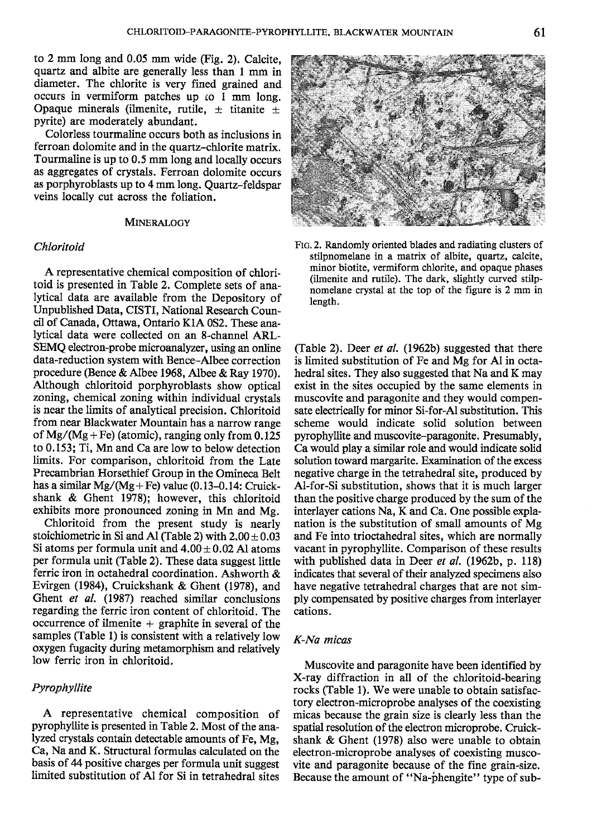to  $2 \text{ mm}$  long and  $0.05 \text{ mm}$  wide (Fig. 2). Calcite, quartz and albite are generally less than 1 mm in diameter. The chlorite is very fined grained and occurs in vermiform patches up co 1 mm long. Opaque minerals (ilmenite, rutile,  $\pm$  titanite  $\pm$ pyrite) are moderately abundant.

Colorless tourmaline occurs both as inclusions in ferroan dolomite and in the quartz-chlorite matrix. Tourmaline is up to 0.5 mm long and locally occurs as aggregates of crystals. Ferroan dolomite occurs as porphyroblasts up to 4 mm long. Quartz-feldspar veins locally cut across the foliation.

#### **MINERALOGY**

### *Chloritoid*

A representative chemical composition of chloritoid is presented in Table 2. Complete sets of analytical data are available from the Depository of Unpublished Data, CISTI, National Research Council of Canada, Ottawa, Ontario KIA OS2.These analytical data were collected on an 8-channel ARL-SEMQ electron-probe microanalyzer, using an online data-reduction system with Bence-Albee correction procedure (Bence & Albee 1968, Albee & Ray 1970). Although chloritoid porphyroblasts show optical zoning, chemical zoning within individual crystals is near the limits of analytical precision. Chloritoid from near Blackwater Mountain has a narrow range of  $Mg/(Mg + Fe)$  (atomic), ranging only from 0.125 to 0.153; Ti, Mn and Ca are low to below detection limits. For comparison, chloritoid from the Late Precambrian Horsethief Group in the Omineca Belt has a similar  $Mg/(Mg + Fe)$  value (0.13-0.14: Cruickshank & Ghent 1978); however, this chloritoid exhibits more pronounced zoning in Mn and Mg.

Chloritoid from the present study is nearly stoichiometric in Si and Al (Table 2) with  $2.00 \pm 0.03$ Si atoms per formula unit and  $4.00 \pm 0.02$  Al atoms per formula unit (Table 2). These data suggest little ferric iron in octahedral coordination. Ashworth & Evirgen (1984), Cruickshank & Ghent (1978), and Ghent *et al.* (1987) reached similar conclusions regarding the ferric iron content of chloritoid. The occurrence of ilmenite  $+$  graphite in several of the samples (Table 1) is consistent with a relatively low oxygen fugacity during metamorphism and relatively low ferric iron in chloritoid.

# *Pyrophyllite*

A representative chemical composition of pyrophyllite is presented in Table 2. Most of the analyzed crystals contain detectable amounts of Fe, Mg, Ca, Na and K. Structural formulas calculated on the basis of 44 positive charges per formula unit suggest limited substitution of Al for Si in tetrahedral sites



FIG. 2. Randomly oriented blades and radiating clusters of stilpnomelane in a matrix of albite, quartz, calcite, minor biotite, vermiform chlorite, and opaque phases (ilmenite and rutile). The dark, slightly curved stilpnomelane crystal at the top of the figure is 2 mm in length.

(Table 2). Deer *et at.* (1962b) suggested that there is limited substitution of Fe and Mg for Al in octahedral sites. They also suggested that Na and K may exist in the sites occupied by the same elements in muscovite and paragonite and they would compensate electrically for minor Si-for-Al substitution. This scheme would indicate solid solution between pyrophyllite and muscovite-paragonite. Presumably, Ca would playa similar role and would indicate solid solution toward margarite. Examination of the excess negative charge in the tetrahedral site, produced by Al-for-Si substitution, shows that it is much larger than the positive charge produced by the sum of the interlayer cations Na, K and Ca. One possible explanation is the substitution of small amounts of Mg and Fe into trioctahedral sites, which are normally vacant in pyrophyllite. Comparison of these results with published data in Deer *et al.* (1962b, p. 118) indicates that several of their analyzed specimens also have negative tetrahedral charges that are not simply compensated by positive charges from interlayer cations.

### *K-Na micas*

Muscovite and paragonite have been identified by X-ray diffraction in all of the chloritoid-bearing rocks (Table 1). We were unable to obtain satisfactory electron-microprobe analyses of the coexisting micas because the grain size is clearly less than the spatial resolution of the electron microprobe. Cruickshank & Ghent (1978) also were unable to obtain electron-microprobe analyses of coexisting muscovite and paragonite because of the fine grain-size. Because the amount of "Na-phengite" type of sub-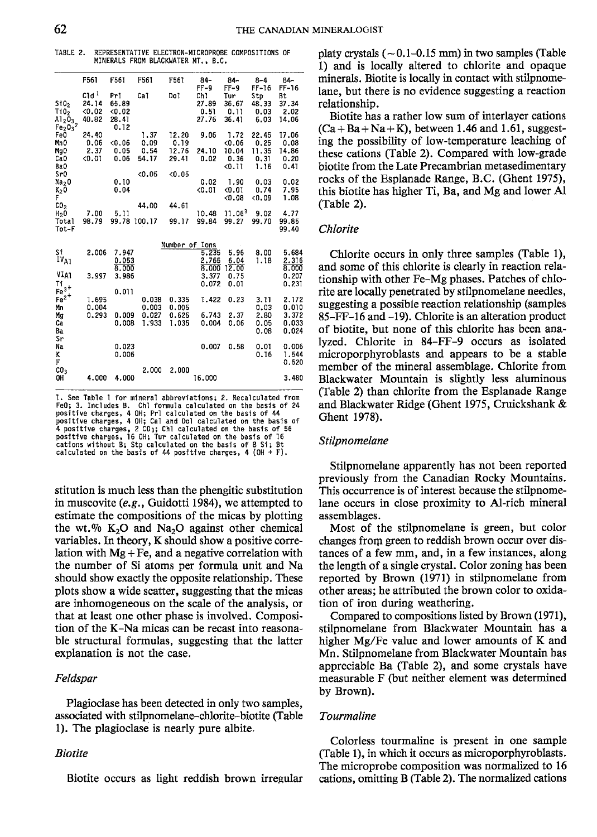TABLE 2. REPRESENTATIVE ELECTRON-MICROPROBE COMPOSITIONS OF MINERALS FROM BLACKWATER MT.. B.C.

|                                                                                                 | F561                                         | F561                                  | F561                          | F561                            | $84-$<br>$FF-9$               | $84-$<br>$FF-9$                         | $8 - 4$<br>$FF-16$                     | $84-$<br>$FF-16$                       |
|-------------------------------------------------------------------------------------------------|----------------------------------------------|---------------------------------------|-------------------------------|---------------------------------|-------------------------------|-----------------------------------------|----------------------------------------|----------------------------------------|
| St0 <sub>2</sub><br>T <sub>10</sub><br>$A1_20_3$<br>Fe <sub>2</sub> 0 <sub>3</sub> <sup>2</sup> | C1d <sup>1</sup><br>24.14<br>< 0.02<br>40.82 | Prl<br>65.89<br>0.02<br>28.41<br>0.12 | Cal                           | Do1                             | Ch1<br>27.89<br>0.51<br>27.76 | Tur<br>36.67<br>0.11<br>36.41           | Stp<br>48.33<br>0.03<br>6.03           | Bt<br>37.34<br>2.02<br>14.06           |
| Fe0<br>Mn O<br>Mg0<br>Ca <sub>0</sub><br>Ba0                                                    | 24.40<br>0.06<br>2.37<br>0.01                | < 0.06<br>0.05<br>0.06                | 1.37<br>0.09<br>0.54<br>54.17 | 12.20<br>0.19<br>12.76<br>29.41 | 9.06<br>24.10<br>0.02         | 1.72<br>< 0.06<br>10.04<br>0.36<br>0.11 | 22.45<br>0.25<br>11.35<br>0.31<br>1.16 | 17.06<br>0.08<br>14.86<br>0.20<br>0.41 |
| Sr0<br>Na <sub>2</sub> O<br>$K_2 0$<br>F<br>CO <sub>2</sub>                                     |                                              | 0.10<br>0.04                          | < 0.05<br>44.00               | < 0.05<br>44.61                 | 0.02<br>< 0.01                | 1.90<br>< 0.01<br>0.08                  | 0.03<br>0.74<br>0.09                   | 0.02<br>7.95<br>1.08                   |
| H <sub>2</sub> 0<br>Total<br>Tot-F                                                              | 7.00<br>98.79                                | 5.11<br>99.78 100.17                  |                               | 99.17                           | 10.48<br>99.84                | 11.063<br>99.27                         | 9.02<br>99.70                          | 4.77<br>99.85<br>99.40                 |
|                                                                                                 |                                              |                                       |                               |                                 | Number of Ions                |                                         |                                        |                                        |
| Si<br>IV <sub>A1</sub>                                                                          | 2.006                                        | 7.947<br>0.053<br>8.000               |                               |                                 | 5.235<br>2.765<br>8.000       | 5.96<br>6.04<br>12.00                   | 8.00<br>1.18                           | 5.684<br>2.316<br>8.000                |
| VIA1<br>Τi<br>$Fe3+$                                                                            | 3.997                                        | 3.986<br>0.011                        |                               |                                 | 3.377<br>0.072                | 0.75<br>0.01                            |                                        | 0.207<br>0.231                         |
| $Fe2+$<br>Mn                                                                                    | 1.695<br>0.004                               |                                       | 0.038<br>0.003                | 0.335<br>0.005                  | 1.422                         | 0.23                                    | 3.11<br>0.03                           | 2.172<br>0.010                         |
| Mg<br>Ca<br>Ba<br>Sr                                                                            | 0.293                                        | 0.009<br>0.008                        | 0.027<br>1.933                | 0.625<br>1.035                  | 6.743<br>0.004                | 2.37<br>0.06                            | 2.80<br>0.05<br>0.08                   | 3.372<br>0.033<br>0.024                |
| Na<br>K<br>F                                                                                    |                                              | 0.023<br>0.006                        |                               |                                 | 0.007                         | 0.58                                    | 0.01<br>0.16                           | 0.006<br>1.544<br>0.520                |
| CO <sub>3</sub><br>OH                                                                           | 4.000                                        | 4.000                                 | 2.000                         | 2.000                           | 16,000                        |                                         |                                        | 3.480                                  |

1. See Table 1 for mineral abbreviations; 2. Recalculated from FeO; 3. Includes B. Chl formula calculated on the basis of 24<br>positive charges, 4 OH; Pri calculated on the basis of 44<br>positive charges, 4 OH; Cal and Dol calculated on the basis of<br>4 positive charges, 2 CO<sub>3</sub>; Chl calcul positive charges, 16 OH; Tur calculated on the basis of 16<br>cations without B; Stp calculated on the basis of 8 Si; Bt calculated on the basis of 44 positive charges, 4 (OH + F).

stitution is much less than the phengitic substitution in muscovite *(e.g.,* Guidotti 1984), we attempted to estimate the compositions of the micas by plotting the wt.  $\%$  K<sub>2</sub>O and Na<sub>2</sub>O against other chemical variables. In theory, K should show a positive correlation with  $Mg + Fe$ , and a negative correlation with the number of Si atoms per formula unit and Na should show exactly the opposite relationship. These plots show a wide scatter, suggesting that the micas are inhomogeneous on the scale of the analysis, or that at least one other phase is involved. Composition of the K-Na micas can be recast into reasonable structural formulas, suggesting that the latter explanation is not the case.

# *Feldspar*

Plagioclase has been detected in only two samples, associated with stilpnomelane-chlorite-biotite (Table 1). The plagioclase is nearly pure albite.

### *Biotite*

Biotite occurs as light reddish brown irregular

platy crystals  $(-0.1-0.15$  mm) in two samples (Table 1) and is locally altered to chlorite and opaque minerals. Biotite is locally in contact with stilpnomelane, but there is no evidence suggesting a reaction relationship.

Biotite has a rather low sum of interlayer cations  $(Ca + Ba + Na + K)$ , between 1.46 and 1.61, suggesting the possibility of low-temperature leaching of these cations (Table 2). Compared with low-grade biotite from the Late Precambrian metasedimentary rocks of the Esplanade Range, B.C. (Ghent 1975), this biotite has higher Ti, Ba, and Mg and lower AI (Table 2).

### *Chlorite*

Chlorite occurs in only three samples (Table I), and some of this chlorite is clearly in reaction relationship with other Fe-Mg phases. Patches of chlorite are locally penetrated by stilpnomelane needles, suggesting a possible reaction relationship (samples  $85-FF-16$  and  $-19$ ). Chlorite is an alteration product of biotite, but none of this chlorite has been analyzed. Chlorite in 84-FF-9 occurs as isolated microporphyroblasts and appears to be a stable member of the mineral assemblage. Chlorite from Blackwater Mountain is slightly less aluminous (Table 2) than chlorite from the Esplanade Range and Blackwater Ridge (Ghent 1975, Cruickshank & Ghent 1978).

# *Stilpnomelane*

Stilpnomelane apparently has not been reported previously from the Canadian Rocky Mountains. This occurrence is of interest because the stilpnomelane occurs in close proximity to AI-rich mineral assemblages.

Most of the stilpnomelane is green, but color changes from green to reddish brown occur over distances of a few mm, and, in a few instances, along the length of a single crystal. Color zoning has been reported by Brown (1971) in stilpnomelane from other areas; he attributed the brown color to oxidation of iron during weathering.

Compared to compositions listed by Brown (1971), stilpnomelane from Blackwater Mountain has a higher Mg/Fe value and lower amounts of K and Mn. Stilpnomelane from Blackwater Mountain has appreciable Ba (Table 2), and some crystals have measurable F (but neither element was determined by Brown).

### *Tourmaline*

Colorless tourmaline is present in one sample (Table 1), in which it occurs as microporphyroblasts. The microprobe composition was normalized to 16 cations, omitting B (Table 2). The normalized cations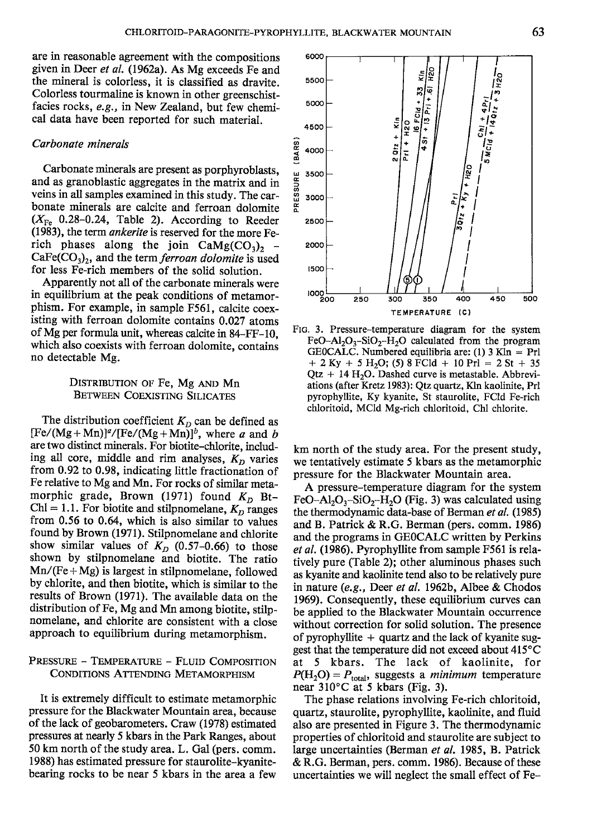are in reasonable agreement with the compositions given in Deer *et al.* (1962a). As Mg exceeds Fe and the mineral is colorless, it is classified as dravite. Colorless tourmaline is known in other greenschistfacies rocks, *e.g.,* in New Zealand, but few chemical data have been reported for such material.

#### *Carbonate minerals*

Carbonate minerals are present as porphyroblasts, and as granoblastic aggregates in the matrix and in veins in all samples examined in this study. The carbonate minerals are calcite and ferroan dolomite  $(X_{\text{Fe}}$  0.28-0.24, Table 2). According to Reeder (1983), the term *ankerite* is reserved for the more Ferich phases along the join  $CaMg(CO<sub>3</sub>)<sub>2</sub>$  -CaFe(CO<sub>3</sub>)<sub>2</sub>, and the term *ferroan dolomite* is used for less Fe-rich members of the solid solution.

Apparently not all of the carbonate minerals were in equilibrium at the peak conditions of metamorphism. For example, in sample F561, calcite coexisting with ferroan dolomite contains 0.027 atoms of Mg per formula unit, whereas calcite in 84-FF-1O, which also coexists with ferroan dolomite, contains no detectable Mg.

# DISTRIBUTION OF Fe, Mg AND Mn BETWEEN COEXISTING SILICATES

The distribution coefficient  $K_D$  can be defined as  $[Fe/(Mg+Mn)]^{\alpha}/[Fe/(Mg+Mn)]^{\beta}$ , where *a* and *b* are two distinct minerals. For biotite-chlorite, including all core, middle and rim analyses,  $K_D$  varies from 0.92 to 0.98, indicating little fractionation of Fe relative to Mg and Mn. For rocks of similar metamorphic grade, Brown (1971) found  $K<sub>D</sub>$  Bt- $ChI = 1.1$ . For biotite and stilpnomelane,  $K_D$  ranges from  $0.56$  to  $0.64$ , which is also similar to values found by Brown (1971). Stilpnomelane and chlorite show similar values of  $K_D$  (0.57-0.66) to those shown by stilpnomelane and biotite. The ratio  $Mn/(Fe+Mg)$  is largest in stilpnomelane, followed by chlorite, and then biotite, which is similar to the results of Brown (1971). The available data on the distribution of Fe, Mg and Mn among biotite, stilpnomelane, and chlorite are consistent with a close approach to equilibrium during metamorphism.

# PRESSURE - TEMPERATURE - FLUID COMPOSITION CONDITIONS ATTENDING METAMORPHISM

It is extremely difficult to estimate metamorphic pressure for the Blackwater Mountain area, because of the lack of geobarometers. Craw (1978) estimated pressures at nearly 5 kbars in the Park Ranges, about 50 km north of the study area. L. Gal (pers. comm. 1988) has estimated pressure for staurolite-kyanitebearing rocks to be near 5 kbars in the area a few



FIG. 3. Pressure-temperature diagram for the system FeO-Al<sub>2</sub>O<sub>2</sub>-SiO<sub>2</sub>-H<sub>2</sub>O calculated from the program GEOCALC. Numbered equilibria are: (1)  $3 \text{ Kln} = \text{Prl}$  $+ 2$  Ky  $+ 5$  H<sub>2</sub>O; (5) 8 FCld  $+ 10$  Prl = 2 St  $+ 35$  $Qtz + 14 H<sub>2</sub>O$ . Dashed curve is metastable. Abbreviations (after Kretz 1983): Qtz quartz, Kln kaolinite, PrI pyrophyIIite, Ky kyanite, St staurolite, FCld Fe-rich chloritoid, MCld Mg-rich chloritoid, Chl chlorite.

km north of the study area. For the present study, we tentatively estimate 5 kbars as the metamorphic pressure for the Blackwater Mountain area.

A pressure-temperature diagram for the system FeO-Al<sub>2</sub>O<sub>3</sub>-SiO<sub>2</sub>-H<sub>2</sub>O (Fig. 3) was calculated using the thermodynamic data-base of Berman *et af. (1985)* and B. Patrick & R.G. Berman (pers. comm. 1986) and the programs in GEOCALC written by Perkins *et af.* (1986). Pyrophyllite from sample F561 is relatively pure (Table 2); other aluminous phases such as kyanite and kaolinite tend also to be relatively pure in nature *(e.g.,* Deer *et al.* 1962b, Albee & Chodos 1969). Consequently, these equilibrium curves can be applied to the Blackwater Mountain occurrence without correction for solid solution. The presence of pyrophyllite  $+$  quartz and the lack of kyanite suggest that the temperature did not exceed about 415°C at 5 kbars. The lack of kaolinite, for  $P(H_2O) = P_{total}$ , suggests a *minimum* temperature near 310°C at 5 kbars (Fig. 3).

The phase relations involving Fe-rich chloritoid, quartz, staurolite, pyrophyllite, kaolinite, and fluid also are presented in Figure 3. The thermodynamic properties of chloritoid and staurolite are subject to large uncertainties (Berman *et al.* 1985, B. Patrick & R.G. Berman, pers. comm. 1986). Because of these uncertainties we will neglect the small effect of Fe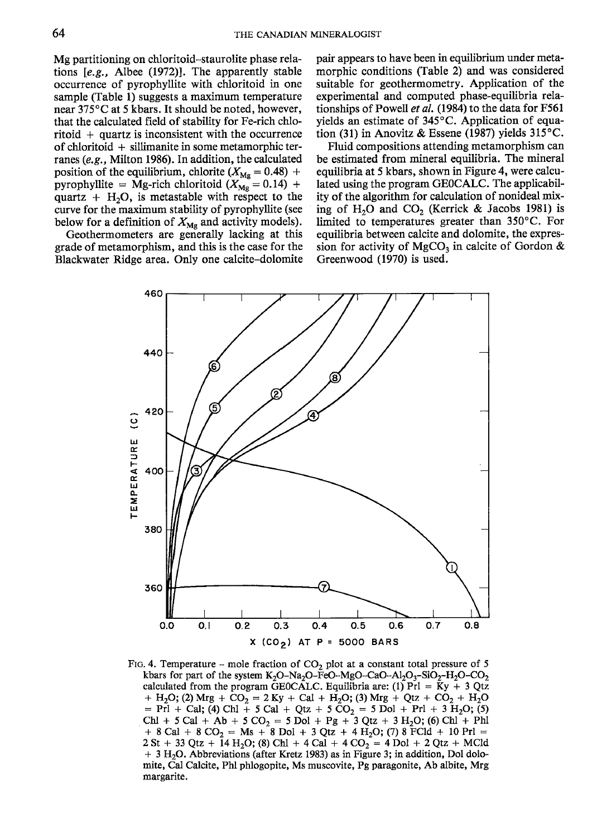Mg partitioning on chloritoid-staurolite phase relations *[e.g.,* Albee (1972)]. The apparently stable occurrence of pyrophyllite with chloritoid in one sample (Table 1) suggests a maximum temperature near 375°C at 5 kbars. It should be noted, however, that the calculated field of stability for Fe-rich chlo- $\text{ri}$ toid + quartz is inconsistent with the occurrence of chloritoid  $+$  sillimanite in some metamorphic terranes *(e.g.,* Milton 1986). In addition, the calculated position of the equilibrium, chlorite  $(X_{\text{Mg}} = 0.48)$  + pyrophyllite = Mg-rich chloritoid  $(X_{\text{Mg}} = 0.14)$  + quartz +  $H_2O$ , is metastable with respect to the curve for the maximum stability of pyrophyllite (see below for a definition of  $X_{\text{Mg}}$  and activity models).

Geothermometers are generally lacking at this grade of metamorphism, and this is the case for the Blackwater Ridge area. Only one calcite-dolomite pair appears to have been in equilibrium under metamorphic conditions (Table 2) and was considered suitable for geothermometry. Application of the experimental and computed phase-equilibria relationships of Powell *et at.* (1984) to the data for F561 yields an estimate of 345°C. Application of equation (31) in Anovitz & Essene (1987) yields 315°C.

Fluid compositions attending metamorphism can be estimated from mineral equilibria. The mineral equilibria at 5 kbars, shown in Figure 4, were calculated using the program GEOCALC. The applicability of the algorithm for calculation of nonideal mixing of H<sub>2</sub>O and CO<sub>2</sub> (Kerrick & Jacobs 1981) is limited to temperatures greater than 350°C. For equilibria between calcite and dolomite, the expression for activity of MgCO<sub>3</sub> in calcite of Gordon  $\&$ Greenwood (1970) is used.



FIG. 4. Temperature – mole fraction of  $CO<sub>2</sub>$  plot at a constant total pressure of 5 kbars for part of the system K<sub>2</sub>O-Na<sub>2</sub>O-FeO-MgO-CaO-Al<sub>2</sub>O<sub>3</sub>-SiO<sub>2</sub>-H<sub>2</sub>O-CO<sub>2</sub> calculated from the program GEOCALC. Equilibria are: (1) Prl = Ky + 3 Qtz + H<sub>2</sub>O; (2) Mrg + CO<sub>2</sub> = 2 Ky + Cal + H<sub>2</sub>O; (3) Mrg + Qtz + CO<sub>2</sub> + H<sub>2</sub>O  $=$  Pri + Cal; (4) Chl + 5 Cal + Qtz + 5 CO<sub>2</sub> = 5 Dol + Prl + 3 H<sub>2</sub>O; (5)<br>Chl + 5 Cal + Ab + 5 CO<sub>2</sub> = 5 Dol + Pg + 3 Qtz + 3 H<sub>2</sub>O; (6) Chl + Phl + 8 Cal + 8 CO<sub>2</sub> = Ms + 8 Dol + 3 Qtz + 4 H<sub>2</sub>O; (7) 8 FCld + 10 Prl =  $2 St + 33 Qtz + 14 H<sub>2</sub>O$ ; (8) Ch1 + 4 Cal + 4 CO<sub>2</sub> = 4 Dol + 2 Qtz + MCld  $+$  3 H<sub>2</sub>O. Abbreviations (after Kretz 1983) as in Figure 3; in addition, Dol dolomite, Cal Calcite, PhI phlogopite, Ms muscovite, Pg paragonite, Ab albite, Mrg margarite.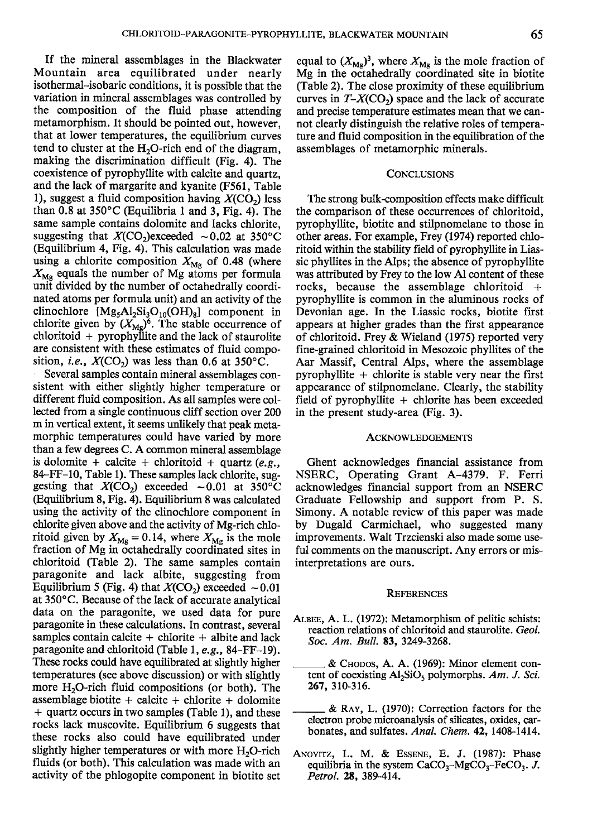If the mineral assemblages in the Blackwater Mountain area equilibrated under nearly isothermal-isobaric conditions, it is possible that the variation in mineral assemblages was controlled by the composition of the fluid phase attending metamorphism. It should be pointed out, however, that at lower temperatures, the equilibrium curves tend to cluster at the  $H_2O$ -rich end of the diagram, making the discrimination difficult (Fig. 4). The coexistence of pyrophyllite with calcite and quartz, and the lack of margarite and kyanite (F561, Table 1), suggest a fluid composition having  $X(CO<sub>2</sub>)$  less than 0.8 at 350°C (Equilibria 1 and 3, Fig. 4). The same sample contains dolomite and lacks chlorite, suggesting that  $X(CO_2)$ exceeded  $\sim 0.02$  at 350°C (Equilibrium 4, Fig. 4). This calculation was made using a chlorite composition  $X_{\text{Mg}}$  of 0.48 (where  $X_{\text{Mg}}$  equals the number of Mg atoms per formula unit divided by the number of octahedrally coordinated atoms per formula unit) and an activity of the clinochlore  $[Mg<sub>5</sub>Al<sub>2</sub>Si<sub>3</sub>O<sub>10</sub>(OH)<sub>8</sub>]$  component in chlorite given by  $(X_{\text{Mg}})^6$ . The stable occurrence of chloritoid + pyrophyllite and the lack of staurolite are consistent with these estimates of fluid composition, *i.e.*,  $X(CO_2)$  was less than 0.6 at 350°C.

Several samples contain mineral assemblages consistent with either slightly higher temperature or different fluid composition. As all samples were collected from a single continuous cliff section over 200 m in vertical extent, it seems unlikely that peak metamorphic temperatures could have varied by more than a few degrees C. A common mineral assemblage is dolomite + calcite + chloritoid + quartz  $(e.g.,)$ 84-FF-1O, Table 1). These samples lack chlorite, suggesting that  $X(CO_2)$  exceeded  $\sim 0.01$  at 350°C (Equilibrium 8, Fig. 4). Equilibrium 8 was calculated using the activity of the clinochlore component in chlorite given above and the activity of Mg-rich chloritoid given by  $X_{\text{Mg}} = 0.14$ , where  $X_{\text{Mg}}$  is the mole fraction of Mg in octahedrally coordinated sites in chloritoid (Table 2). The same samples contain paragonite and lack albite, suggesting from Equilibrium 5 (Fig. 4) that  $X(CO_2)$  exceeded  $\sim 0.01$ at 350°C. Because of the lack of accurate analytical data on the paragonite, we used data for pure paragonite in these calculations. In contrast, several samples contain calcite  $+$  chlorite  $+$  albite and lack paragonite and chloritoid (Table 1, *e.g.,* 84-FF-19). These rocks could have equilibrated at slightly higher temperatures (see above discussion) or with slightly more  $H_2O$ -rich fluid compositions (or both). The assemblage biotite  $+$  calcite  $+$  chlorite  $+$  dolomite + quartz occurs in two samples (Table 1), and these rocks lack muscovite. Equilibrium 6 suggests that these rocks also could have equilibrated under slightly higher temperatures or with more  $H_2O$ -rich fluids (or both). This calculation was made with an activity of the phlogopite component in biotite set equal to  $(X_{\text{Mg}})^3$ , where  $X_{\text{Mg}}$  is the mole fraction of Mg in the octahedrally coordinated site in biotite (Table 2). The close proximity of these equilibrium curves in  $T-X(CO_2)$  space and the lack of accurate and precise temperature estimates mean that we cannot clearly distinguish the relative roles of temperature and fluid composition in the equilibration of the assemblages of metamorphic minerals.

### **CONCLUSIONS**

The strong bulk-composition effects make difficult the comparison of these occurrences of chloritoid, pyrophyllite, biotite and stilpnomelane to those in other areas. For example, Frey (1974) reported chloritoid within the stability field of pyrophyllite in Liassic phyllites in the Alps; the absence of pyrophyllite was attributed by Frey to the low Al content of these rocks, because the assemblage chloritoid + pyrophyllite is common in the aluminous rocks of Devonian age. In the Liassic rocks, biotite first appears at higher grades than the first appearance of chloritoid. Frey & Wieland (1975) reported very fine-grained chloritoid in Mesozoic phyllites of the Aar Massif, Central Alps, where the assemblage pyrophyllite  $+$  chlorite is stable very near the first appearance of stilpnomelane. Clearly, the stability field of pyrophyllite  $+$  chlorite has been exceeded in the present study-area (Fig. 3).

#### ACKNOWLEDGEMENTS

Ghent acknowledges financial assistance from NSERC, Operating Grant A-4379. F. Ferri acknowledges financial support from an NSERC Graduate Fellowship and support from P. S. Simony. A notable review of this paper was made by Dugald Carmichael, who suggested many improvements. Walt Trzcienski also made some useful comments on the manuscript. Any errors or misinterpretations are ours.

#### **REFERENCES**

- ALBEE,A. L. (1972): Metamorphism of pelitic schists: reaction relations of chloritoid and staurolite. *Oeo!. Soc. Am. Bull.* 83, 3249-3268.
	- $&$  Chopos, A. A. (1969): Minor element content of coexisting A12SiOs po1ymorphs. *Am. J. Sci.* 267, 310-316.
	- & RAY, L. (1970): Correction factors for the electron probe microanalysis of silicates, oxides, carbonates, and sulfates. *Anal. Chem.* 42, 1408-1414.
- ANOVITZ, L. M. & ESSENE, E. J. (1987): Phase equilibria in the system  $CaCO<sub>3</sub>-MgCO<sub>3</sub>-FeCO<sub>3</sub>$ . *J. Petrol.* 28, 389-414.